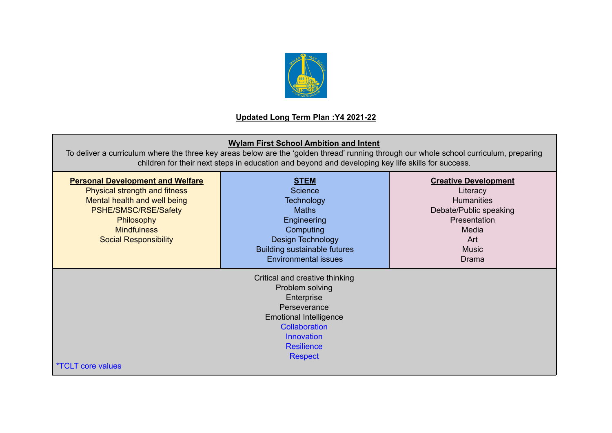

## **Updated Long Term Plan :Y4 2021-22**

## **Wylam First School Ambition and Intent**

To deliver a curriculum where the three key areas below are the 'golden thread' running through our whole school curriculum, preparing children for their next steps in education and beyond and developing key life skills for success.

| <b>Personal Development and Welfare</b><br>Physical strength and fitness<br>Mental health and well being<br>PSHE/SMSC/RSE/Safety<br>Philosophy<br><b>Mindfulness</b><br><b>Social Responsibility</b> | <b>STEM</b><br><b>Science</b><br><b>Technology</b><br><b>Maths</b><br>Engineering<br>Computing<br>Design Technology<br><b>Building sustainable futures</b><br><b>Environmental issues</b> | <b>Creative Development</b><br>Literacy<br><b>Humanities</b><br>Debate/Public speaking<br>Presentation<br>Media<br>Art<br><b>Music</b><br><b>Drama</b> |
|------------------------------------------------------------------------------------------------------------------------------------------------------------------------------------------------------|-------------------------------------------------------------------------------------------------------------------------------------------------------------------------------------------|--------------------------------------------------------------------------------------------------------------------------------------------------------|
| <i>*TCLT core values</i>                                                                                                                                                                             |                                                                                                                                                                                           |                                                                                                                                                        |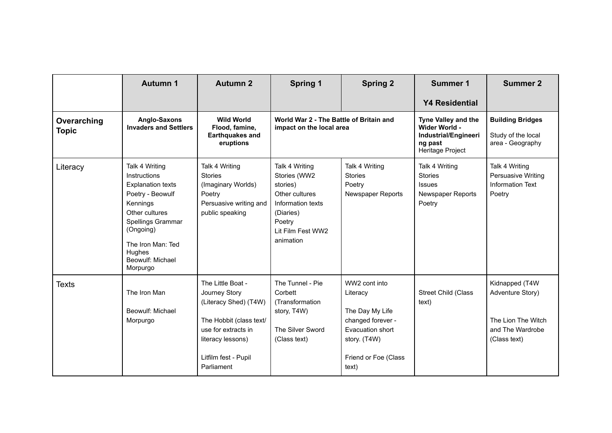|                             | <b>Autumn 1</b>                                                                                                                                                                                               | <b>Autumn 2</b>                                                                                                                                                          | <b>Spring 1</b>                                                                                                                            | <b>Spring 2</b>                                                                                                                        | <b>Summer 1</b>                                                                                    | <b>Summer 2</b>                                                                              |
|-----------------------------|---------------------------------------------------------------------------------------------------------------------------------------------------------------------------------------------------------------|--------------------------------------------------------------------------------------------------------------------------------------------------------------------------|--------------------------------------------------------------------------------------------------------------------------------------------|----------------------------------------------------------------------------------------------------------------------------------------|----------------------------------------------------------------------------------------------------|----------------------------------------------------------------------------------------------|
|                             |                                                                                                                                                                                                               |                                                                                                                                                                          |                                                                                                                                            |                                                                                                                                        | <b>Y4 Residential</b>                                                                              |                                                                                              |
| Overarching<br><b>Topic</b> | Anglo-Saxons<br><b>Invaders and Settlers</b>                                                                                                                                                                  | <b>Wild World</b><br>Flood, famine,<br><b>Earthquakes and</b><br>eruptions                                                                                               | World War 2 - The Battle of Britain and<br>impact on the local area                                                                        |                                                                                                                                        | <b>Tyne Valley and the</b><br>Wider World -<br>Industrial/Engineeri<br>ng past<br>Heritage Project | <b>Building Bridges</b><br>Study of the local<br>area - Geography                            |
| Literacy                    | Talk 4 Writing<br>Instructions<br><b>Explanation texts</b><br>Poetry - Beowulf<br>Kennings<br>Other cultures<br>Spellings Grammar<br>(Ongoing)<br>The Iron Man: Ted<br>Hughes<br>Beowulf: Michael<br>Morpurgo | Talk 4 Writing<br><b>Stories</b><br>(Imaginary Worlds)<br>Poetry<br>Persuasive writing and<br>public speaking                                                            | Talk 4 Writing<br>Stories (WW2<br>stories)<br>Other cultures<br>Information texts<br>(Diaries)<br>Poetry<br>Lit Film Fest WW2<br>animation | Talk 4 Writing<br><b>Stories</b><br>Poetry<br>Newspaper Reports                                                                        | Talk 4 Writing<br><b>Stories</b><br><b>Issues</b><br><b>Newspaper Reports</b><br>Poetry            | Talk 4 Writing<br>Persuasive Writing<br><b>Information Text</b><br>Poetry                    |
| <b>Texts</b>                | The Iron Man<br>Beowulf: Michael<br>Morpurgo                                                                                                                                                                  | The Little Boat -<br>Journey Story<br>(Literacy Shed) (T4W)<br>The Hobbit (class text/<br>use for extracts in<br>literacy lessons)<br>Litfilm fest - Pupil<br>Parliament | The Tunnel - Pie<br>Corbett<br>(Transformation<br>story, T4W)<br>The Silver Sword<br>(Class text)                                          | WW2 cont into<br>Literacy<br>The Day My Life<br>changed forever -<br>Evacuation short<br>story. (T4W)<br>Friend or Foe (Class<br>text) | <b>Street Child (Class</b><br>text)                                                                | Kidnapped (T4W<br>Adventure Story)<br>The Lion The Witch<br>and The Wardrobe<br>(Class text) |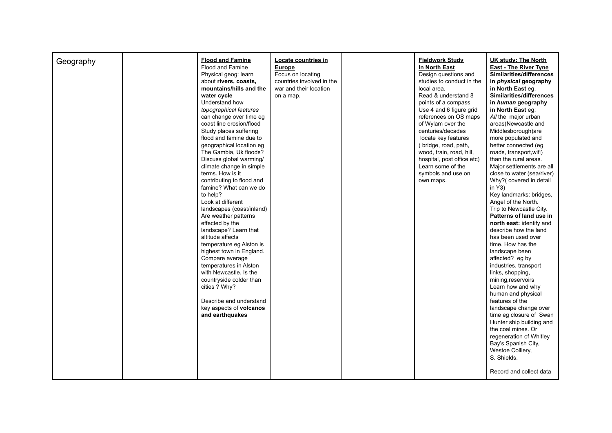| Geography | <b>Flood and Famine</b><br>Flood and Famine<br>Physical geog: learn<br>about rivers, coasts,<br>mountains/hills and the<br>water cycle<br>Understand how<br>topographical features<br>can change over time eg<br>coast line erosion/flood<br>Study places suffering<br>flood and famine due to<br>geographical location eg<br>The Gambia, Uk floods?<br>Discuss global warming/<br>climate change in simple<br>terms. How is it<br>contributing to flood and<br>famine? What can we do<br>to help?<br>Look at different<br>landscapes (coast/inland)<br>Are weather patterns<br>effected by the<br>landscape? Learn that<br>altitude affects<br>temperature eg Alston is<br>highest town in England.<br>Compare average | Locate countries in<br><b>Europe</b><br>Focus on locating<br>countries involved in the<br>war and their location<br>on a map. | <b>Fieldwork Study</b><br>In North East<br>Design guestions and<br>studies to conduct in the<br>local area.<br>Read & understand 8<br>points of a compass<br>Use 4 and 6 figure grid<br>references on OS maps<br>of Wylam over the<br>centuries/decades<br>locate key features<br>(bridge, road, path,<br>wood, train, road, hill,<br>hospital, post office etc)<br>Learn some of the<br>symbols and use on<br>own maps. | <b>UK study: The North</b><br><b>East - The River Tyne</b><br>Similarities/differences<br>in physical geography<br>in North East eq.<br>Similarities/differences<br>in human geography<br>in North East eq:<br>All the major urban<br>areas(Newcastle and<br>Middlesborough)are<br>more populated and<br>better connected (eg<br>roads, transport, wifi)<br>than the rural areas.<br>Major settlements are all<br>close to water (sea/river)<br>Why?(covered in detail<br>in $Y3)$<br>Key landmarks: bridges,<br>Angel of the North.<br>Trip to Newcastle City.<br>Patterns of land use in<br>north east: identify and<br>describe how the land<br>has been used over<br>time. How has the<br>landscape been<br>affected? eg by |
|-----------|-------------------------------------------------------------------------------------------------------------------------------------------------------------------------------------------------------------------------------------------------------------------------------------------------------------------------------------------------------------------------------------------------------------------------------------------------------------------------------------------------------------------------------------------------------------------------------------------------------------------------------------------------------------------------------------------------------------------------|-------------------------------------------------------------------------------------------------------------------------------|--------------------------------------------------------------------------------------------------------------------------------------------------------------------------------------------------------------------------------------------------------------------------------------------------------------------------------------------------------------------------------------------------------------------------|---------------------------------------------------------------------------------------------------------------------------------------------------------------------------------------------------------------------------------------------------------------------------------------------------------------------------------------------------------------------------------------------------------------------------------------------------------------------------------------------------------------------------------------------------------------------------------------------------------------------------------------------------------------------------------------------------------------------------------|
|           |                                                                                                                                                                                                                                                                                                                                                                                                                                                                                                                                                                                                                                                                                                                         |                                                                                                                               |                                                                                                                                                                                                                                                                                                                                                                                                                          |                                                                                                                                                                                                                                                                                                                                                                                                                                                                                                                                                                                                                                                                                                                                 |
|           | temperatures in Alston<br>with Newcastle. Is the<br>countryside colder than<br>cities ? Why?<br>Describe and understand<br>key aspects of volcanos<br>and earthquakes                                                                                                                                                                                                                                                                                                                                                                                                                                                                                                                                                   |                                                                                                                               |                                                                                                                                                                                                                                                                                                                                                                                                                          | industries, transport<br>links, shopping,<br>mining, reservoirs<br>Learn how and why<br>human and physical<br>features of the<br>landscape change over<br>time eg closure of Swan<br>Hunter ship building and<br>the coal mines. Or<br>regeneration of Whitley<br>Bay's Spanish City,<br>Westoe Colliery,<br>S. Shields.<br>Record and collect data                                                                                                                                                                                                                                                                                                                                                                             |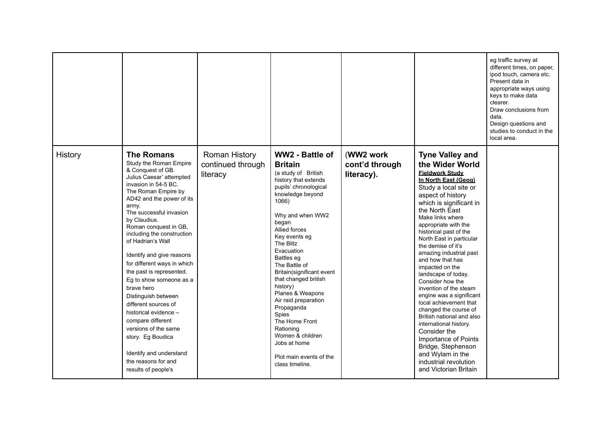|         |                                                                                                                                                                                                                                                                                                                                                                                                                                                                                                                                                                                                                                                              |                                                |                                                                                                                                                                                                                                                                                                                                                                                                                                                                                                                             |                                           |                                                                                                                                                                                                                                                                                                                                                                                                                                                                                                                                                                                                                                                                                                                                 | eg traffic survey at<br>different times, on paper,<br>ipod touch, camera etc.<br>Present data in<br>appropriate ways using<br>keys to make data<br>clearer.<br>Draw conclusions from<br>data.<br>Design questions and<br>studies to conduct in the<br>local area. |
|---------|--------------------------------------------------------------------------------------------------------------------------------------------------------------------------------------------------------------------------------------------------------------------------------------------------------------------------------------------------------------------------------------------------------------------------------------------------------------------------------------------------------------------------------------------------------------------------------------------------------------------------------------------------------------|------------------------------------------------|-----------------------------------------------------------------------------------------------------------------------------------------------------------------------------------------------------------------------------------------------------------------------------------------------------------------------------------------------------------------------------------------------------------------------------------------------------------------------------------------------------------------------------|-------------------------------------------|---------------------------------------------------------------------------------------------------------------------------------------------------------------------------------------------------------------------------------------------------------------------------------------------------------------------------------------------------------------------------------------------------------------------------------------------------------------------------------------------------------------------------------------------------------------------------------------------------------------------------------------------------------------------------------------------------------------------------------|-------------------------------------------------------------------------------------------------------------------------------------------------------------------------------------------------------------------------------------------------------------------|
| History | <b>The Romans</b><br>Study the Roman Empire<br>& Conquest of GB.<br>Julius Caesar' attempted<br>invasion in 54-5 BC.<br>The Roman Empire by<br>AD42 and the power of its<br>army.<br>The successful invasion<br>by Claudius.<br>Roman conquest in GB,<br>including the construction<br>of Hadrian's Wall<br>Identify and give reasons<br>for different ways in which<br>the past is represented.<br>Eg to show someone as a<br>brave hero<br>Distinguish between<br>different sources of<br>historical evidence -<br>compare different<br>versions of the same<br>story. Eg Boudica<br>Identify and understand<br>the reasons for and<br>results of people's | Roman History<br>continued through<br>literacy | WW2 - Battle of<br><b>Britain</b><br>(a study of British<br>history that extends<br>pupils' chronological<br>knowledge beyond<br>1066)<br>Why and when WW2<br>began<br>Allied forces<br>Key events eg<br>The Blitz<br>Evacuation<br>Battles eg<br>The Battle of<br>Britain(significant event<br>that changed british<br>history)<br>Planes & Weapons<br>Air raid preparation<br>Propaganda<br><b>Spies</b><br>The Home Front<br>Rationing<br>Women & children<br>Jobs at home<br>Plot main events of the<br>class timeline. | (WW2 work<br>cont'd through<br>literacy). | <b>Tyne Valley and</b><br>the Wider World<br><b>Fieldwork Study</b><br>In North East (Geog)<br>Study a local site or<br>aspect of history<br>which is significant in<br>the North East<br>Make links where<br>appropriate with the<br>historical past of the<br>North East in particular<br>the demise of it's<br>amazing industrial past<br>and how that has<br>impacted on the<br>landscape of today.<br>Consider how the<br>invention of the steam<br>engine was a significant<br>local achievement that<br>changed the course of<br>British national and also<br>international history.<br>Consider the<br>Importance of Points<br>Bridge, Stephenson<br>and Wylam in the<br>industrial revolution<br>and Victorian Britain |                                                                                                                                                                                                                                                                   |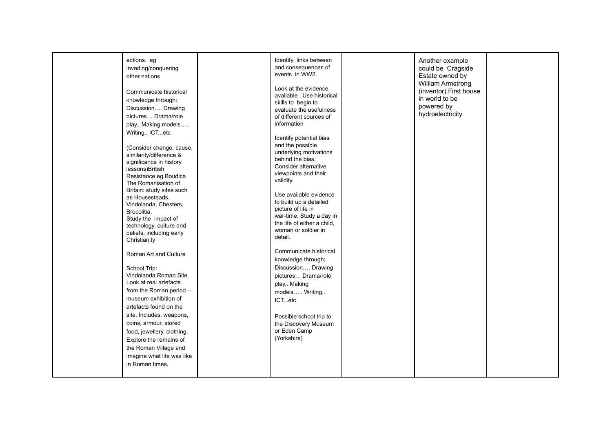| actions. eg                                         | Identify links between                             | Another example                              |  |
|-----------------------------------------------------|----------------------------------------------------|----------------------------------------------|--|
| invading/conquering                                 | and consequences of                                | could be Cragside                            |  |
| other nations                                       | events in WW2.                                     | Estate owned by                              |  |
|                                                     | Look at the evidence                               | William Armstrong<br>(inventor). First house |  |
| Communicate historical                              | available . Use historical                         | in world to be                               |  |
| knowledge through:                                  | skills to begin to                                 | powered by                                   |  |
| Discussion Drawing                                  | evaluate the usefulness                            | hydroelectricity                             |  |
| pictures Drama/role                                 | of different sources of                            |                                              |  |
| play Making models                                  | information                                        |                                              |  |
| Writing ICTetc                                      | Identify potential bias                            |                                              |  |
|                                                     | and the possible                                   |                                              |  |
| (Consider change, cause,<br>similarity/difference & | underlying motivations                             |                                              |  |
| significance in history                             | behind the bias.                                   |                                              |  |
| lessons)British                                     | Consider alternative                               |                                              |  |
| Resistance eg Boudica                               | viewpoints and their<br>validity.                  |                                              |  |
| The Romanisation of                                 |                                                    |                                              |  |
| Britain: study sites such                           | Use available evidence                             |                                              |  |
| as Housesteads,<br>Vindolanda, Chesters,            | to build up a detailed                             |                                              |  |
| Brocolitia.                                         | picture of life in                                 |                                              |  |
| Study the impact of                                 | war-time. Study a day in                           |                                              |  |
| technology, culture and                             | the life of either a child,<br>woman or soldier in |                                              |  |
| beliefs, including early                            | detail.                                            |                                              |  |
| Christianity                                        |                                                    |                                              |  |
| Roman Art and Culture                               | Communicate historical                             |                                              |  |
|                                                     | knowledge through:                                 |                                              |  |
| School Trip:                                        | Discussion Drawing                                 |                                              |  |
| Vindolanda Roman Site                               | pictures Drama/role                                |                                              |  |
| Look at real artefacts                              | play Making                                        |                                              |  |
| from the Roman period -                             | models Writing                                     |                                              |  |
| museum exhibition of                                | ICTetc                                             |                                              |  |
| artefacts found on the                              |                                                    |                                              |  |
| site. Includes, weapons,                            | Possible school trip to                            |                                              |  |
| coins, armour, stored                               | the Discovery Museum                               |                                              |  |
| food, jewellery, clothing.                          | or Eden Camp                                       |                                              |  |
| Explore the remains of                              | (Yorkshire)                                        |                                              |  |
| the Roman Village and                               |                                                    |                                              |  |
| imagine what life was like                          |                                                    |                                              |  |
| in Roman times.                                     |                                                    |                                              |  |
|                                                     |                                                    |                                              |  |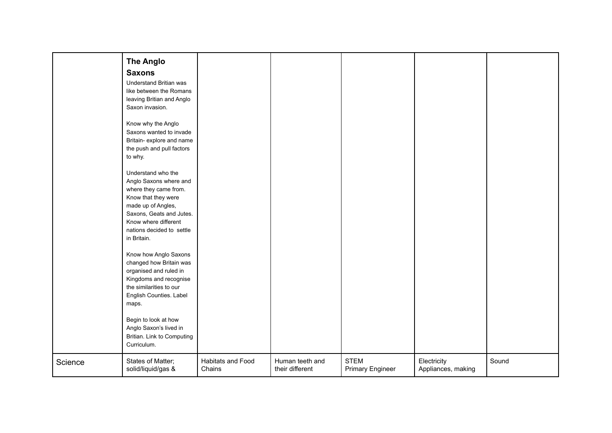|         | <b>The Anglo</b>                                  |                   |                 |                         |                    |       |
|---------|---------------------------------------------------|-------------------|-----------------|-------------------------|--------------------|-------|
|         | <b>Saxons</b>                                     |                   |                 |                         |                    |       |
|         | Understand Britian was                            |                   |                 |                         |                    |       |
|         | like between the Romans                           |                   |                 |                         |                    |       |
|         | leaving Britian and Anglo                         |                   |                 |                         |                    |       |
|         | Saxon invasion.                                   |                   |                 |                         |                    |       |
|         | Know why the Anglo                                |                   |                 |                         |                    |       |
|         | Saxons wanted to invade                           |                   |                 |                         |                    |       |
|         | Britain- explore and name                         |                   |                 |                         |                    |       |
|         | the push and pull factors                         |                   |                 |                         |                    |       |
|         | to why.                                           |                   |                 |                         |                    |       |
|         | Understand who the                                |                   |                 |                         |                    |       |
|         | Anglo Saxons where and                            |                   |                 |                         |                    |       |
|         | where they came from.                             |                   |                 |                         |                    |       |
|         | Know that they were                               |                   |                 |                         |                    |       |
|         | made up of Angles,                                |                   |                 |                         |                    |       |
|         | Saxons, Geats and Jutes.<br>Know where different  |                   |                 |                         |                    |       |
|         | nations decided to settle                         |                   |                 |                         |                    |       |
|         | in Britain.                                       |                   |                 |                         |                    |       |
|         |                                                   |                   |                 |                         |                    |       |
|         | Know how Anglo Saxons                             |                   |                 |                         |                    |       |
|         | changed how Britain was<br>organised and ruled in |                   |                 |                         |                    |       |
|         | Kingdoms and recognise                            |                   |                 |                         |                    |       |
|         | the similarities to our                           |                   |                 |                         |                    |       |
|         | English Counties. Label                           |                   |                 |                         |                    |       |
|         | maps.                                             |                   |                 |                         |                    |       |
|         |                                                   |                   |                 |                         |                    |       |
|         | Begin to look at how                              |                   |                 |                         |                    |       |
|         | Anglo Saxon's lived in                            |                   |                 |                         |                    |       |
|         | Britian. Link to Computing                        |                   |                 |                         |                    |       |
|         | Curriculum.                                       |                   |                 |                         |                    |       |
| Science | States of Matter;                                 | Habitats and Food | Human teeth and | <b>STEM</b>             | Electricity        | Sound |
|         | solid/liquid/gas &                                | Chains            | their different | <b>Primary Engineer</b> | Appliances, making |       |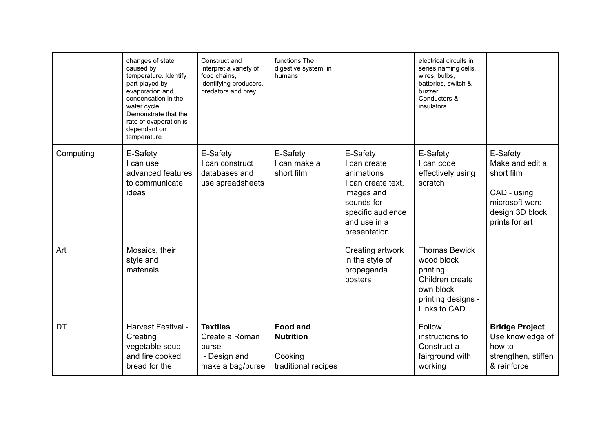|           | changes of state<br>caused by<br>temperature. Identify<br>part played by<br>evaporation and<br>condensation in the<br>water cycle.<br>Demonstrate that the<br>rate of evaporation is<br>dependant on<br>temperature | Construct and<br>interpret a variety of<br>food chains,<br>identifying producers,<br>predators and prey | functions. The<br>digestive system in<br>humans                       |                                                                                                                                               | electrical circuits in<br>series naming cells,<br>wires, bulbs,<br>batteries, switch &<br>buzzer<br>Conductors &<br>insulators |                                                                                                                   |
|-----------|---------------------------------------------------------------------------------------------------------------------------------------------------------------------------------------------------------------------|---------------------------------------------------------------------------------------------------------|-----------------------------------------------------------------------|-----------------------------------------------------------------------------------------------------------------------------------------------|--------------------------------------------------------------------------------------------------------------------------------|-------------------------------------------------------------------------------------------------------------------|
| Computing | E-Safety<br>I can use<br>advanced features<br>to communicate<br>ideas                                                                                                                                               | E-Safety<br>I can construct<br>databases and<br>use spreadsheets                                        | E-Safety<br>I can make a<br>short film                                | E-Safety<br>I can create<br>animations<br>I can create text.<br>images and<br>sounds for<br>specific audience<br>and use in a<br>presentation | E-Safety<br>I can code<br>effectively using<br>scratch                                                                         | E-Safety<br>Make and edit a<br>short film<br>CAD - using<br>microsoft word -<br>design 3D block<br>prints for art |
| Art       | Mosaics, their<br>style and<br>materials.                                                                                                                                                                           |                                                                                                         |                                                                       | Creating artwork<br>in the style of<br>propaganda<br>posters                                                                                  | <b>Thomas Bewick</b><br>wood block<br>printing<br>Children create<br>own block<br>printing designs -<br>Links to CAD           |                                                                                                                   |
| DT        | Harvest Festival -<br>Creating<br>vegetable soup<br>and fire cooked<br>bread for the                                                                                                                                | <b>Textiles</b><br>Create a Roman<br>purse<br>- Design and<br>make a bag/purse                          | <b>Food and</b><br><b>Nutrition</b><br>Cooking<br>traditional recipes |                                                                                                                                               | Follow<br>instructions to<br>Construct a<br>fairground with<br>working                                                         | <b>Bridge Project</b><br>Use knowledge of<br>how to<br>strengthen, stiffen<br>& reinforce                         |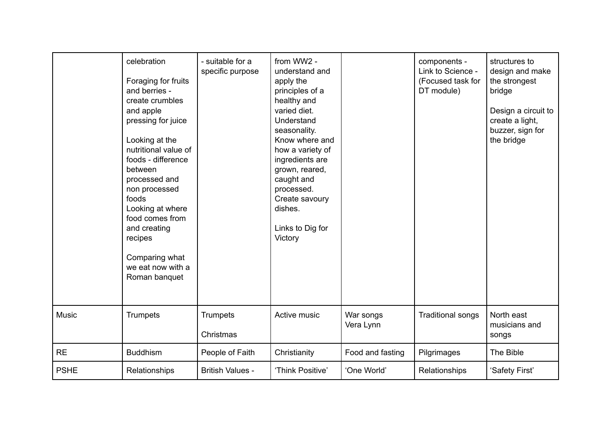|              | celebration<br>Foraging for fruits<br>and berries -<br>create crumbles<br>and apple<br>pressing for juice<br>Looking at the<br>nutritional value of<br>foods - difference<br>between<br>processed and<br>non processed<br>foods<br>Looking at where<br>food comes from<br>and creating<br>recipes<br>Comparing what<br>we eat now with a<br>Roman banquet | - suitable for a<br>specific purpose | from WW2 -<br>understand and<br>apply the<br>principles of a<br>healthy and<br>varied diet.<br>Understand<br>seasonality.<br>Know where and<br>how a variety of<br>ingredients are<br>grown, reared,<br>caught and<br>processed.<br>Create savoury<br>dishes.<br>Links to Dig for<br>Victory |                        | components -<br>Link to Science -<br>(Focused task for<br>DT module) | structures to<br>design and make<br>the strongest<br>bridge<br>Design a circuit to<br>create a light,<br>buzzer, sign for<br>the bridge |
|--------------|-----------------------------------------------------------------------------------------------------------------------------------------------------------------------------------------------------------------------------------------------------------------------------------------------------------------------------------------------------------|--------------------------------------|----------------------------------------------------------------------------------------------------------------------------------------------------------------------------------------------------------------------------------------------------------------------------------------------|------------------------|----------------------------------------------------------------------|-----------------------------------------------------------------------------------------------------------------------------------------|
| <b>Music</b> | <b>Trumpets</b>                                                                                                                                                                                                                                                                                                                                           | <b>Trumpets</b><br>Christmas         | Active music                                                                                                                                                                                                                                                                                 | War songs<br>Vera Lynn | <b>Traditional songs</b>                                             | North east<br>musicians and<br>songs                                                                                                    |
| <b>RE</b>    | <b>Buddhism</b>                                                                                                                                                                                                                                                                                                                                           | People of Faith                      | Christianity                                                                                                                                                                                                                                                                                 | Food and fasting       | Pilgrimages                                                          | The Bible                                                                                                                               |
| <b>PSHE</b>  | Relationships                                                                                                                                                                                                                                                                                                                                             | <b>British Values -</b>              | 'Think Positive'                                                                                                                                                                                                                                                                             | 'One World'            | Relationships                                                        | 'Safety First'                                                                                                                          |